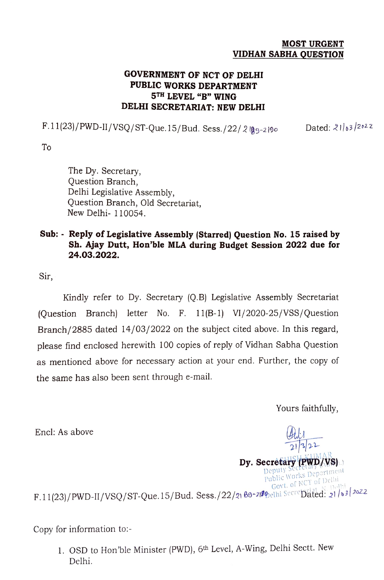## MOST URGENT VIDHAN SABHA QUESTION

## GOVERNMENT OF NCT OF DELHI PUBLIC WORKS DEPARTMENT 5TH LEVEL "B" WING DELHI SECRETARIAT: NEW DELHI

F.11(23)/PWD-II/VSQ/ST-Que.15/Bud. Sess./22/2 [g9-2]90 Dated: 21/63/2022

To

The Dy. Secretary, Question Branch, Delhi Legislative Assembly, Question Branch, Old Secretariat, New Delhi- 110054.

## Sub: Reply of Legislative Assembly (Starred) Question No. 15 raised by Sh. Ajay Dutt, Hon'ble MLA during Budget Session 2022 due for 24.03.2022.

Sir,

Kindly refer to Dy. Secretary (Q.B) Legislative Assembly Secretariat (Question Branch) letter No. F. 11(B-1) VI/2020-25/VSS/Question Branch/2885 dated 14/03/2022 on the subject cited above. In this regard, please find enclosed herewith 100 copies of reply of Vidhan Sabha Question as mentioned above for necessary action at your end. Further, the copy of the same has also been sent through e-mail.

Yours faithfully,

 $21/3$ 

Dy. Secretary Deputy SeCretayt (PWD/VS) Public Works Department Govt. of NCT of Delhi

Dy. Secretary (PWD/VS)

Encl: As above

Govt. 01 INC. 11(23)/PWD-II/VSQ/ST-Que. 15/Bud. Sess./22/21 89-219 pelhi SecreDated: 21/63/2022

Copy for information to:-

1. OSD to Hon'ble Minister (PWD), 6th Level, A-Wing, Delhi Sectt. New Delhi.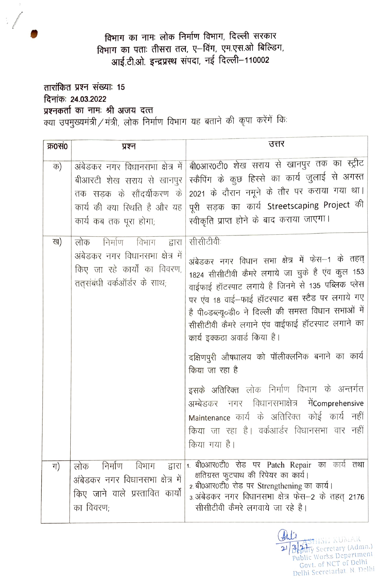विभाग का नामः लोक निर्माण विभाग, दिल्ली सरकार विभाग का पताः तीसरा तल, ए-विंग, एम.एस.ओ बिल्डिंग, आई.टी.ओ. इन्द्रप्रस्थ संपदा, नई दिल्ली-110002

तारांकित प्रश्न संख्याः 15 दिनांकः 24.03.2022 प्रश्नकर्ता का नामः श्री अजय दत्त क्या उपमुख्यमंत्री / मंत्री, लोक निर्माण विभाग यह बताने की कृपा करेंगें कि:

| क्र0सं0 | प्रश्न                                                                                                                                                 | उत्तर                                                                                                                                                                                                                                                                                                                                                                                                                                                                                                                                                                                                                                                       |
|---------|--------------------------------------------------------------------------------------------------------------------------------------------------------|-------------------------------------------------------------------------------------------------------------------------------------------------------------------------------------------------------------------------------------------------------------------------------------------------------------------------------------------------------------------------------------------------------------------------------------------------------------------------------------------------------------------------------------------------------------------------------------------------------------------------------------------------------------|
| क)      | अंबेडकर नगर विधानसभा क्षेत्र में  <br>बीआरटी शेख सराय से खानपुर<br>तक सड़क के सौंदर्यीकरण के<br>कार्य की क्या रिथति है और यह<br>कार्य कब तक पूरा होगा; | बी0आर0टी0 शेख सराय से खानपुर तक का स्ट्रीट<br>स्कैपिंग के कुछ हिस्से का कार्य जुलाई से अगस्त<br>2021 के दौरान नमूने के तौर पर कराया गया था।<br>पूरी सड़क का कार्य Streetscaping Project की<br>स्वीकृति प्राप्त होने के बाद कराया जाएगा।                                                                                                                                                                                                                                                                                                                                                                                                                     |
| ख)      | निर्माण<br>विभाग<br>लोक<br>द्वारा<br>अंबेडकर नगर विधानसभा क्षेत्र में<br>किए जा रहे कार्यों का विवरण,<br>ततुसंबंधी वर्कऑर्डर के साथ;                   | सीसीटीवीः<br>अंबेडकर नगर विधान सभा क्षेत्र में फेस--1 के तहत्<br>1824 सीसीटीवी कैमरे लगाये जा चुके है एंव कुल 153<br>वाईफाई हॉटस्पाट लगाये है जिनमे से 135 पब्लिक प्लेस<br>पर एंव 18 वाई-फाई हॉटस्पाट बस स्टैंड पर लगाये गए<br>है पी०डब्ल्यू०डी० ने दिल्ली की समस्त विधान सभाओं में<br>सीसीटीवी कैमरे लगाने एंव वाईफाई हॉटस्पाट लगाने का<br>कार्य इक्कठा अवार्ड किया है।<br>दक्षिणपुरी औषधालय को पॉलीक्लनिक बनाने का कार्य<br>किया जा रहा है<br>इसके अतिरिक्त लोक निर्माण विभाग के अन्तर्गत<br>अम्बेडकर नगर विधानसभाक्षेत्र मेंComprehensive<br>Maintenance कार्य के अतिरिक्त कोई कार्य नहीं<br>किया जा रहा है। वर्कआर्डर विधानसभा वार नहीं<br>किया गया है। |
| ग)      | निर्माण विभाग द्वारा<br>लोक<br>अंबेडकर नगर विधानसभा क्षेत्र में<br>किए जाने वाले प्रस्तावित कार्यों<br>का विवरण;                                       | 1. बी0आर0टी0 रोड पर Patch Repair का कार्य तथा<br>क्षतिग्रस्त फुटपाथ की रिपेयर का कार्य।<br>2. बी0आर0टी0 रोड पर Strengthening का कार्य।<br>3.अंबेडकर नगर विधानसभा क्षेत्र फेस—2 के तहत् 2176<br>सीसीटीवी कैमरे लगवाये जा रहे है।                                                                                                                                                                                                                                                                                                                                                                                                                             |

 $\mathbb{A}$ HISE KUMAR Buty Secretary (Admn.)  $\beta$ Public Works Department Govt. of NCT of Delhi Delhi Secretariat, N. Delhi